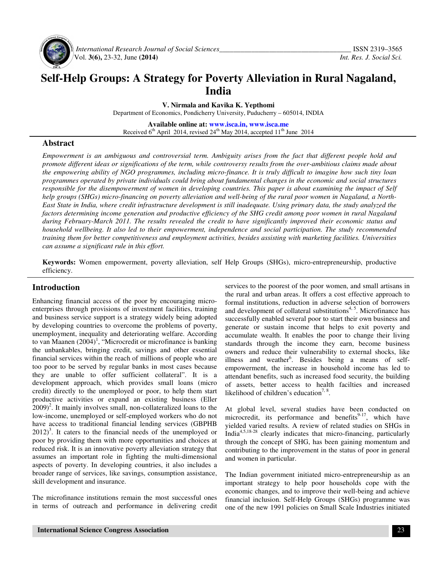

 *International Research Journal of Social Sciences\_\_\_\_\_\_\_\_\_\_\_\_\_\_\_\_\_\_\_\_\_\_\_\_\_\_\_\_\_\_\_\_\_\_\_\_\_* ISSN 2319–3565 Vol. **3(6),** 23-32, June **(2014)** *Int. Res. J. Social Sci.*

# **Self-Help Groups: A Strategy for Poverty Alleviation in Rural Nagaland, India**

**V. Nirmala and Kavika K. Yepthomi**

Department of Economics, Pondicherry University, Puducherry – 605014, INDIA

**Available online at: www.isca.in, www.isca.me** Received  $6<sup>th</sup>$  April 2014, revised 24<sup>th</sup> May 2014, accepted 11<sup>th</sup> June 2014

### **Abstract**

*Empowerment is an ambiguous and controversial term. Ambiguity arises from the fact that different people hold and promote different ideas or significations of the term, while controversy results from the over-ambitious claims made about the empowering ability of NGO programmes, including micro-finance. It is truly difficult to imagine how such tiny loan programmes operated by private individuals could bring about fundamental changes in the economic and social structures responsible for the disempowerment of women in developing countries. This paper is about examining the impact of Self help groups (SHGs) micro-financing on poverty alleviation and well-being of the rural poor women in Nagaland, a North-East State in India, where credit infrastructure development is still inadequate. Using primary data, the study analyzed the factors determining income generation and productive efficiency of the SHG credit among poor women in rural Nagaland during February-March 2011. The results revealed the credit to have significantly improved their economic status and household wellbeing. It also led to their empowerment, independence and social participation. The study recommended training them for better competitiveness and employment activities, besides assisting with marketing facilities. Universities can assume a significant rule in this effort.* 

**Keywords:** Women empowerment, poverty alleviation, self Help Groups (SHGs), micro-entrepreneurship, productive efficiency.

### **Introduction**

Enhancing financial access of the poor by encouraging microenterprises through provisions of investment facilities, training and business service support is a strategy widely being adopted by developing countries to overcome the problems of poverty, unemployment, inequality and deteriorating welfare. According to van Maanen  $(2004)^1$ , "Microcredit or microfinance is banking the unbankables, bringing credit, savings and other essential financial services within the reach of millions of people who are too poor to be served by regular banks in most cases because they are unable to offer sufficient collateral". It is a development approach, which provides small loans (micro credit) directly to the unemployed or poor, to help them start productive activities or expand an existing business (Eller  $(2009)^2$ . It mainly involves small, non-collateralized loans to the low-income, unemployed or self-employed workers who do not have access to traditional financial lending services (GBPHB  $2012$ <sup>3</sup>. It caters to the financial needs of the unemployed or poor by providing them with more opportunities and choices at reduced risk. It is an innovative poverty alleviation strategy that assumes an important role in fighting the multi-dimensional aspects of poverty. In developing countries, it also includes a broader range of services, like savings, consumption assistance, skill development and insurance.

The microfinance institutions remain the most successful ones in terms of outreach and performance in delivering credit services to the poorest of the poor women, and small artisans in the rural and urban areas. It offers a cost effective approach to formal institutions, reduction in adverse selection of borrowers and development of collateral substitutions $4, 5$ . Microfinance has successfully enabled several poor to start their own business and generate or sustain income that helps to exit poverty and accumulate wealth. It enables the poor to change their living standards through the income they earn, become business owners and reduce their vulnerability to external shocks, like illness and weather<sup>6</sup>. Besides being a means of selfempowerment, the increase in household income has led to attendant benefits, such as increased food security, the building of assets, better access to health facilties and increased likelihood of children's education<sup>7, 8</sup>.

At global level, several studies have been conducted on microcredit, its performance and benefits $9-17$ , which have yielded varied results. A review of related studies on SHGs in India4,5,18-28 clearly indicates that micro-financing, particularly through the concept of SHG, has been gaining momentum and contributing to the improvement in the status of poor in general and women in particular.

The Indian government initiated micro-entrepreneurship as an important strategy to help poor households cope with the economic changes, and to improve their well-being and achieve financial inclusion. Self-Help Groups (SHGs) programme was one of the new 1991 policies on Small Scale Industries initiated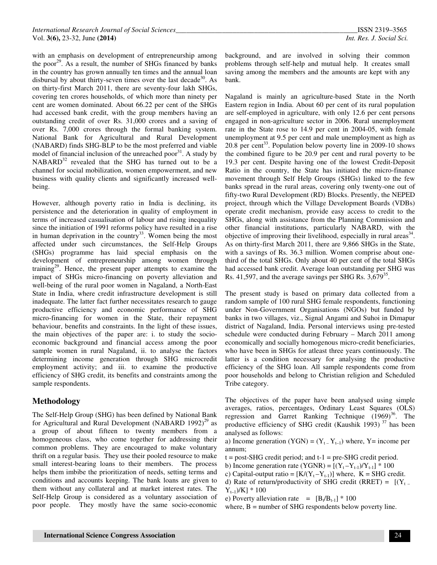with an emphasis on development of entrepreneurship among the poor<sup>29</sup>. As a result, the number of SHGs financed by banks in the country has grown annually ten times and the annual loan disbursal by about thirty-seven times over the last decade<sup>30</sup>. As on thirty-first March 2011, there are seventy-four lakh SHGs, covering ten crores households, of which more than ninety per cent are women dominated. About 66.22 per cent of the SHGs had accessed bank credit, with the group members having an outstanding credit of over Rs. 31,000 crores and a saving of over Rs. 7,000 crores through the formal banking system. National Bank for Agricultural and Rural Development (NABARD) finds SHG-BLP to be the most preferred and viable model of financial inclusion of the unreached poor<sup>31</sup>. A study by NABARD<sup>32</sup> revealed that the SHG has turned out to be a channel for social mobilization, women empowerment, and new business with quality clients and significantly increased wellbeing.

However, although poverty ratio in India is declining, its persistence and the deterioration in quality of employment in terms of increased casualisation of labour and rising inequality since the initiation of 1991 reforms policy have resulted in a rise in human deprivation in the country<sup>33</sup>. Women being the most affected under such circumstances, the Self-Help Groups (SHGs) programme has laid special emphasis on the development of entrepreneurship among women through training<sup>29</sup>. Hence, the present paper attempts to examine the impact of SHGs micro-financing on poverty alleviation and well-being of the rural poor women in Nagaland, a North-East State in India, where credit infrastructure development is still inadequate. The latter fact further necessitates research to gauge productive efficiency and economic performance of SHG micro-financing for women in the State, their repayment behaviour, benefits and constraints. In the light of these issues, the main objectives of the paper are: i. to study the socioeconomic background and financial access among the poor sample women in rural Nagaland, ii. to analyse the factors determining income generation through SHG microcredit employment activity; and iii. to examine the productive efficiency of SHG credit, its benefits and constraints among the sample respondents.

### **Methodology**

The Self-Help Group (SHG) has been defined by National Bank for Agricultural and Rural Development (NABARD 1992)<sup>29</sup> as a group of about fifteen to twenty members from a homogeneous class, who come together for addressing their common problems. They are encouraged to make voluntary thrift on a regular basis. They use their pooled resource to make small interest-bearing loans to their members. The process helps them imbibe the prioritization of needs, setting terms and conditions and accounts keeping. The bank loans are given to them without any collateral and at market interest rates. The Self-Help Group is considered as a voluntary association of poor people. They mostly have the same socio-economic

background, and are involved in solving their common problems through self-help and mutual help. It creates small saving among the members and the amounts are kept with any bank.

Nagaland is mainly an agriculture-based State in the North Eastern region in India. About 60 per cent of its rural population are self-employed in agriculture, with only 12.6 per cent persons engaged in non-agriculture sector in 2006. Rural unemployment rate in the State rose to 14.9 per cent in 2004-05, with female unemployment at 9.5 per cent and male unemployment as high as  $20.8$  per cent<sup>33</sup>. Population below poverty line in 2009-10 shows the combined figure to be 20.9 per cent and rural poverty to be 19.3 per cent. Despite having one of the lowest Credit-Deposit Ratio in the country, the State has initiated the micro-finance movement through Self Help Groups (SHGs) linked to the few banks spread in the rural areas, covering only twenty-one out of fifty-two Rural Development (RD) Blocks. Presently, the NEPED project, through which the Village Development Boards (VDBs) operate credit mechanism, provide easy access to credit to the SHGs, along with assistance from the Planning Commission and other financial institutions, particularly NABARD, with the objective of improving their livelihood, especially in rural areas $34$ . As on thirty-first March 2011, there are 9,866 SHGs in the State, with a savings of Rs. 36.3 million. Women comprise about onethird of the total SHGs. Only about 40 per cent of the total SHGs had accessed bank credit. Average loan outstanding per SHG was Rs. 41,597, and the average savings per SHG Rs.  $3,679^{35}$ .

The present study is based on primary data collected from a random sample of 100 rural SHG female respondents, functioning under Non-Government Organisations (NGOs) but funded by banks in two villages, viz., Signal Angami and Suhoi in Dimapur district of Nagaland, India. Personal interviews using pre-tested schedule were conducted during February – March 2011 among economically and socially homogenous micro-credit beneficiaries, who have been in SHGs for atleast three years continuously. The latter is a condition necessary for analysing the productive efficiency of the SHG loan. All sample respondents come from poor households and belong to Christian religion and Scheduled Tribe category.

The objectives of the paper have been analysed using simple averages, ratios, percentages, Ordinary Least Squares (OLS) regression and Garret Ranking Technique  $(1969)^{36}$ . The productive efficiency of SHG credit (Kaushik 1993)<sup>37</sup> has been analysed as follows:

a) Income generation (YGN) =  $(Y_t - Y_{t-1})$  where, Y= income per annum;

- $t = post-SHG \, credit \, period; \, and \, t-1 = pre-SHG \, credit \, period.$
- b) Income generation rate (YGNR) =  $[(Y_t Y_{t-1})/Y_{t-1}]$  \* 100
- c) Capital-output ratio =  $[K/(Y_t Y_{t-1})]$  where,  $K = SHG$  credit.
- d) Rate of return/productivity of SHG credit (RRET) =  $[(Y_t Y_{t-1}$ )/K] \* 100
- e) Poverty alleviation rate  $= [B_t/B_{t-1}] * 100$
- where,  $B =$  number of SHG respondents below poverty line.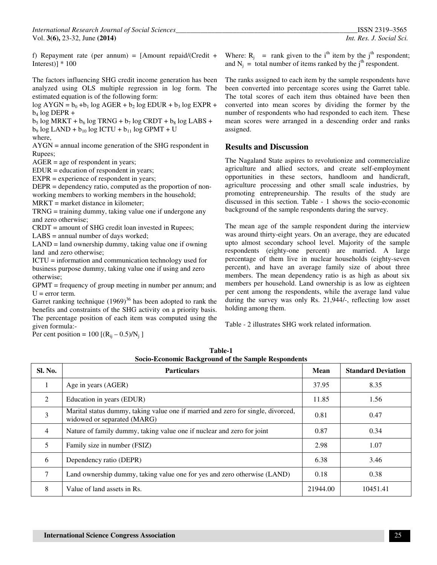*International Research Journal of Social Sciences\_\_\_\_\_\_\_\_\_\_\_\_\_\_\_\_\_\_\_\_\_\_\_\_\_\_\_\_\_\_\_\_\_\_\_\_\_\_\_\_\_\_\_\_\_\_\_\_\_\_\_*ISSN 2319–3565 Vol. **3(6),** 23-32, June **(2014)** *Int. Res. J. Social Sci.*

f) Repayment rate (per annum) = [Amount repaid/(Credit + Interest)]  $*100$ 

The factors influencing SHG credit income generation has been analyzed using OLS multiple regression in log form. The estimated equation is of the following form:

 $\log AYGN = b_0 + b_1 \log AGER + b_2 \log EDUR + b_3 \log EXPR +$  $b_4$  log DEPR +

 $b_5$  log MRKT +  $b_6$  log TRNG +  $b_7$  log CRDT +  $b_8$  log LABS +  $b_9$  log LAND +  $b_{10}$  log ICTU +  $b_{11}$  log GPMT + U where,

AYGN = annual income generation of the SHG respondent in Rupees;

AGER = age of respondent in years;

EDUR = education of respondent in years;

EXPR = experience of respondent in years;

DEPR = dependency ratio, computed as the proportion of nonworking members to working members in the household;

MRKT = market distance in kilometer;

TRNG = training dummy, taking value one if undergone any and zero otherwise;

CRDT = amount of SHG credit loan invested in Rupees;

LABS = annual number of days worked;

LAND = land ownership dummy, taking value one if owning land and zero otherwise;

ICTU = information and communication technology used for business purpose dummy, taking value one if using and zero otherwise;

GPMT = frequency of group meeting in number per annum; and  $U = error term$ .

Garret ranking technique  $(1969)^{36}$  has been adopted to rank the benefits and constraints of the SHG activity on a priority basis. The percentage position of each item was computed using the given formula:-

Per cent position =  $100 [(R_{ij} - 0.5)/N_j]$ 

Where:  $R_j$  = rank given to the i<sup>th</sup> item by the j<sup>th</sup> respondent; and  $N_j$  = total number of items ranked by the j<sup>th</sup> respondent.

The ranks assigned to each item by the sample respondents have been converted into percentage scores using the Garret table. The total scores of each item thus obtained have been then converted into mean scores by dividing the former by the number of respondents who had responded to each item. These mean scores were arranged in a descending order and ranks assigned.

#### **Results and Discussion**

The Nagaland State aspires to revolutionize and commercialize agriculture and allied sectors, and create self-employment opportunities in these sectors, handloom and handicraft, agriculture processing and other small scale industries, by promoting entrepreneurship. The results of the study are discussed in this section. Table - 1 shows the socio-economic background of the sample respondents during the survey.

The mean age of the sample respondent during the interview was around thirty-eight years. On an average, they are educated upto almost secondary school level. Majority of the sample respondents (eighty-one percent) are married. A large percentage of them live in nuclear households (eighty-seven percent), and have an average family size of about three members. The mean dependency ratio is as high as about six members per household. Land ownership is as low as eighteen per cent among the respondents, while the average land value during the survey was only Rs. 21,944/-, reflecting low asset holding among them.

Table - 2 illustrates SHG work related information.

| Sl. No.        | <b>Particulars</b>                                                                                              | <b>Mean</b> | <b>Standard Deviation</b> |
|----------------|-----------------------------------------------------------------------------------------------------------------|-------------|---------------------------|
| 1              | Age in years (AGER)                                                                                             | 37.95       | 8.35                      |
| $\mathcal{L}$  | Education in years (EDUR)                                                                                       | 11.85       | 1.56                      |
| 3              | Marital status dummy, taking value one if married and zero for single, divorced,<br>widowed or separated (MARG) | 0.81        | 0.47                      |
| $\overline{4}$ | Nature of family dummy, taking value one if nuclear and zero for joint                                          | 0.87        | 0.34                      |
| 5              | Family size in number (FSIZ)                                                                                    | 2.98        | 1.07                      |
| 6              | Dependency ratio (DEPR)                                                                                         | 6.38        | 3.46                      |
| $\tau$         | Land ownership dummy, taking value one for yes and zero otherwise (LAND)                                        | 0.18        | 0.38                      |
| 8              | Value of land assets in Rs.                                                                                     | 21944.00    | 10451.41                  |

**Table-1 Socio-Economic Background of the Sample Respondents**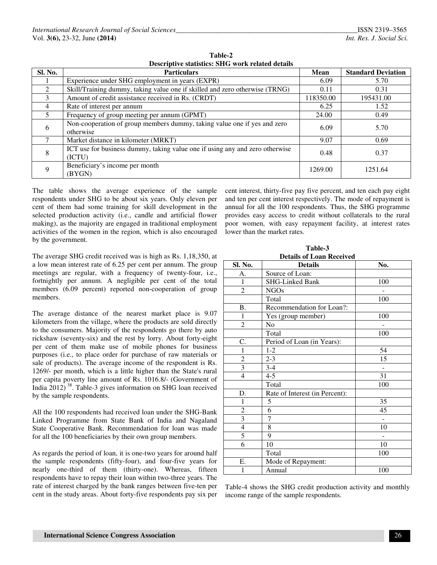| Sl. No.       | <b>Particulars</b>                                                                     | Mean      | <b>Standard Deviation</b> |
|---------------|----------------------------------------------------------------------------------------|-----------|---------------------------|
|               | Experience under SHG employment in years (EXPR)                                        | 6.09      | 5.70                      |
| $\mathcal{L}$ | Skill/Training dummy, taking value one if skilled and zero otherwise (TRNG)            | 0.11      | 0.31                      |
| $\mathcal{R}$ | Amount of credit assistance received in Rs. (CRDT)                                     | 118350.00 | 195431.00                 |
| 4             | Rate of interest per annum                                                             | 6.25      | 1.52                      |
| $\sim$        | Frequency of group meeting per annum (GPMT)                                            | 24.00     | 0.49                      |
| 6             | Non-cooperation of group members dummy, taking value one if yes and zero<br>otherwise  | 6.09      | 5.70                      |
|               | Market distance in kilometer (MRKT)                                                    | 9.07      | 0.69                      |
| 8             | ICT use for business dummy, taking value one if using any and zero otherwise<br>(ICTU) | 0.48      | 0.37                      |
| 9             | Beneficiary's income per month<br>(BYGN)                                               | 1269.00   | 1251.64                   |

**Table-2 Descriptive statistics: SHG work related details** 

The table shows the average experience of the sample respondents under SHG to be about six years. Only eleven per cent of them had some training for skill development in the selected production activity (i.e., candle and artificial flower making), as the majority are engaged in traditional employment activities of the women in the region, which is also encouraged by the government.

The average SHG credit received was is high as Rs. 1,18,350, at a low mean interest rate of 6.25 per cent per annum. The group meetings are regular, with a frequency of twenty-four, i.e., fortnightly per annum. A negligible per cent of the total members (6.09 percent) reported non-cooperation of group members.

The average distance of the nearest market place is 9.07 kilometers from the village, where the products are sold directly to the consumers. Majority of the respondents go there by auto rickshaw (seventy-six) and the rest by lorry. About forty-eight per cent of them make use of mobile phones for business purposes (i.e., to place order for purchase of raw materials or sale of products). The average income of the respondent is Rs. 1269/- per month, which is a little higher than the State's rural per capita poverty line amount of Rs. 1016.8/- (Government of India  $2012$ <sup>38</sup>. Table-3 gives information on SHG loan received by the sample respondents.

All the 100 respondents had received loan under the SHG-Bank Linked Programme from State Bank of India and Nagaland State Cooperative Bank. Recommendation for loan was made for all the 100 beneficiaries by their own group members.

As regards the period of loan, it is one-two years for around half the sample respondents (fifty-four), and four-five years for nearly one-third of them (thirty-one). Whereas, fifteen respondents have to repay their loan within two-three years. The rate of interest charged by the bank ranges between five-ten per cent in the study areas. About forty-five respondents pay six per

cent interest, thirty-five pay five percent, and ten each pay eight and ten per cent interest respectively. The mode of repayment is annual for all the 100 respondents. Thus, the SHG programme provides easy access to credit without collaterals to the rural poor women, with easy repayment facility, at interest rates lower than the market rates.

**Table-3 Details of Loan Received**

| Sl. No.          | <b>Details</b>                 | No. |
|------------------|--------------------------------|-----|
| A.               | Source of Loan:                |     |
| 1                | SHG-Linked Bank                | 100 |
| $\overline{c}$   | <b>NGOs</b>                    |     |
|                  | Total                          | 100 |
| B.               | Recommendation for Loan?:      |     |
| 1                | Yes (group member)             | 100 |
| $\overline{c}$   | No                             |     |
|                  | Total                          | 100 |
| C.               | Period of Loan (in Years):     |     |
| $\mathbf{1}$     | $1 - 2$                        | 54  |
| $\boldsymbol{2}$ | $2 - 3$                        | 15  |
| $\overline{3}$   | $3 - 4$                        |     |
| $\overline{4}$   | $4 - 5$                        | 31  |
|                  | Total                          | 100 |
| D.               | Rate of Interest (in Percent): |     |
| 1                | 5                              | 35  |
| $\sqrt{2}$       | 6                              | 45  |
| $\overline{3}$   | 7                              |     |
| $\overline{4}$   | 8                              | 10  |
| 5                | 9                              |     |
| 6                | 10                             | 10  |
|                  | Total                          | 100 |
| Е.               | Mode of Repayment:             |     |
| 1                | Annual                         | 100 |

Table-4 shows the SHG credit production activity and monthly income range of the sample respondents.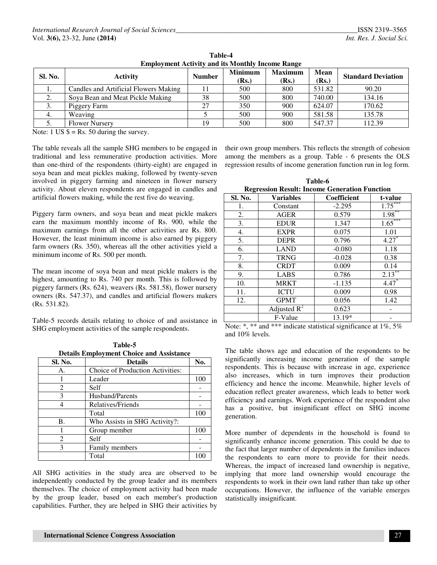| Sl. No. | <b>Activity</b>                       | <b>Number</b> | <b>Minimum</b><br>(Rs.) | <b>Maximum</b><br>(Rs.) | Mean<br>(Rs.) | <b>Standard Deviation</b> |
|---------|---------------------------------------|---------------|-------------------------|-------------------------|---------------|---------------------------|
| .,      | Candles and Artificial Flowers Making |               | 500                     | 800                     | 531.82        | 90.20                     |
| 2.      | Soya Bean and Meat Pickle Making      | 38            | 500                     | 800                     | 740.00        | 134.16                    |
| 3.      | Piggery Farm                          | 27            | 350                     | 900                     | 624.07        | 170.62                    |
| 4.      | Weaving                               |               | 500                     | 900                     | 581.58        | 135.78                    |
| ິ.      | <b>Flower Nursery</b>                 | 19            | 500                     | 800                     | 547.37        | 112.39                    |

**Table-4 Employment Activity and its Monthly Income Range** 

Note:  $1 \text{ US } $ = \text{Rs. } 50 \text{ during the survey.}$ 

The table reveals all the sample SHG members to be engaged in traditional and less remunerative production activities. More than one-third of the respondents (thirty-eight) are engaged in soya bean and meat pickles making, followed by twenty-seven involved in piggery farming and nineteen in flower nursery activity. About eleven respondents are engaged in candles and artificial flowers making, while the rest five do weaving.

Piggery farm owners, and soya bean and meat pickle makers earn the maximum monthly income of Rs. 900, while the maximum earnings from all the other activities are Rs. 800. However, the least minimum income is also earned by piggery farm owners (Rs. 350), whereas all the other activities yield a minimum income of Rs. 500 per month.

The mean income of soya bean and meat pickle makers is the highest, amounting to Rs. 740 per month. This is followed by piggery farmers (Rs. 624), weavers (Rs. 581.58), flower nursery owners (Rs. 547.37), and candles and artificial flowers makers (Rs. 531.82).

Table-5 records details relating to choice of and assistance in SHG employment activities of the sample respondents.

|                                                 | Table-5 |  |
|-------------------------------------------------|---------|--|
| <b>Details Employment Choice and Assistance</b> |         |  |

| Sl. No.                     | <b>Details</b>                   | No. |
|-----------------------------|----------------------------------|-----|
| А.                          | Choice of Production Activities: |     |
|                             | Leader                           | 100 |
| $\mathcal{D}_{\mathcal{L}}$ | Self                             |     |
| 3                           | Husband/Parents                  |     |
|                             | Relatives/Friends                |     |
|                             | Total                            | 100 |
| <b>B.</b>                   | Who Assists in SHG Activity?:    |     |
|                             | Group member                     | 100 |
| 2                           | Self                             |     |
| 3                           | Family members                   |     |
|                             | Total                            |     |

All SHG activities in the study area are observed to be independently conducted by the group leader and its members themselves. The choice of employment activity had been made by the group leader, based on each member's production capabilities. Further, they are helped in SHG their activities by

their own group members. This reflects the strength of cohesion among the members as a group. Table - 6 presents the OLS regression results of income generation function run in log form.

**Table-6 Regression Result: Income Generation Function** 

| o<br>Sl. No. | <b>Variables</b> | <b>Coefficient</b> | t-value     |
|--------------|------------------|--------------------|-------------|
| 1.           | Constant         | $-2.295$           | ***<br>1.75 |
| 2.           | <b>AGER</b>      | 0.579              | $1.98***$   |
| 3.           | <b>EDUR</b>      | 1.347              | $1.65***$   |
| 4.           | <b>EXPR</b>      | 0.075              | 1.01        |
| 5.           | <b>DEPR</b>      | 0.796              | $4.27*$     |
| 6.           | <b>LAND</b>      | $-0.080$           | 1.18        |
| 7.           | <b>TRNG</b>      | $-0.028$           | 0.38        |
| 8.           | <b>CRDT</b>      | 0.009              | 0.14        |
| 9.           | <b>LABS</b>      | 0.786              | $2.13***$   |
| 10.          | <b>MRKT</b>      | $-1.135$           | $4.47*$     |
| 11.          | <b>ICTU</b>      | 0.009              | 0.98        |
| 12.          | <b>GPMT</b>      | 0.056              | 1.42        |
|              | Adjusted $R^2$   | 0.623              |             |
|              | F-Value          | 13.19*             |             |

Note: \*, \*\* and \*\*\* indicate statistical significance at 1%, 5% and 10% levels.

The table shows age and education of the respondents to be significantly increasing income generation of the sample respondents. This is because with increase in age, experience also increases, which in turn improves their production efficiency and hence the income. Meanwhile, higher levels of education reflect greater awareness, which leads to better work efficiency and earnings. Work experience of the respondent also has a positive, but insignificant effect on SHG income generation.

More number of dependents in the household is found to significantly enhance income generation. This could be due to the fact that larger number of dependents in the families induces the respondents to earn more to provide for their needs. Whereas, the impact of increased land ownership is negative, implying that more land ownership would encourage the respondents to work in their own land rather than take up other occupations. However, the influence of the variable emerges statistically insignificant.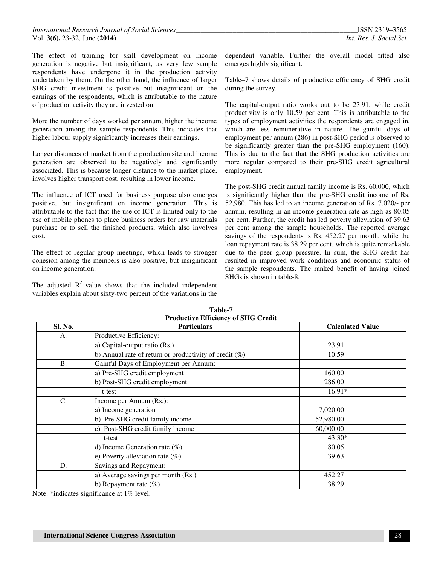The effect of training for skill development on income generation is negative but insignificant, as very few sample respondents have undergone it in the production activity undertaken by them. On the other hand, the influence of larger SHG credit investment is positive but insignificant on the earnings of the respondents, which is attributable to the nature of production activity they are invested on.

More the number of days worked per annum, higher the income generation among the sample respondents. This indicates that higher labour supply significantly increases their earnings.

Longer distances of market from the production site and income generation are observed to be negatively and significantly associated. This is because longer distance to the market place, involves higher transport cost, resulting in lower income.

The influence of ICT used for business purpose also emerges positive, but insignificant on income generation. This is attributable to the fact that the use of ICT is limited only to the use of mobile phones to place business orders for raw materials purchase or to sell the finished products, which also involves cost.

The effect of regular group meetings, which leads to stronger cohesion among the members is also positive, but insignificant on income generation.

The adjusted  $R^2$  value shows that the included independent variables explain about sixty-two percent of the variations in the

dependent variable. Further the overall model fitted also emerges highly significant.

Table–7 shows details of productive efficiency of SHG credit during the survey.

The capital-output ratio works out to be 23.91, while credit productivity is only 10.59 per cent. This is attributable to the types of employment activities the respondents are engaged in, which are less remunerative in nature. The gainful days of employment per annum (286) in post-SHG period is observed to be significantly greater than the pre-SHG employment (160). This is due to the fact that the SHG production activities are more regular compared to their pre-SHG credit agricultural employment.

The post-SHG credit annual family income is Rs. 60,000, which is significantly higher than the pre-SHG credit income of Rs. 52,980. This has led to an income generation of Rs. 7,020/- per annum, resulting in an income generation rate as high as 80.05 per cent. Further, the credit has led poverty alleviation of 39.63 per cent among the sample households. The reported average savings of the respondents is Rs. 452.27 per month, while the loan repayment rate is 38.29 per cent, which is quite remarkable due to the peer group pressure. In sum, the SHG credit has resulted in improved work conditions and economic status of the sample respondents. The ranked benefit of having joined SHGs is shown in table-8.

| Sl. No.        | <b>Particulars</b>                                        | <b>Calculated Value</b> |
|----------------|-----------------------------------------------------------|-------------------------|
| А.             | Productive Efficiency:                                    |                         |
|                | a) Capital-output ratio (Rs.)                             | 23.91                   |
|                | b) Annual rate of return or productivity of credit $(\%)$ | 10.59                   |
| <b>B.</b>      | Gainful Days of Employment per Annum:                     |                         |
|                | a) Pre-SHG credit employment                              | 160.00                  |
|                | b) Post-SHG credit employment                             | 286.00                  |
|                | t-test                                                    | $16.91*$                |
| $\mathbf{C}$ . | Income per Annum (Rs.):                                   |                         |
|                | a) Income generation                                      | 7,020.00                |
|                | b) Pre-SHG credit family income                           | 52,980.00               |
|                | c) Post-SHG credit family income                          | 60,000.00               |
|                | t-test                                                    | $43.30*$                |
|                | d) Income Generation rate $(\%)$                          | 80.05                   |
|                | e) Poverty alleviation rate $(\%)$                        | 39.63                   |
| D.             | Savings and Repayment:                                    |                         |
|                | a) Average savings per month (Rs.)                        | 452.27                  |
|                | b) Repayment rate $(\%)$                                  | 38.29                   |

**Table-7 Productive Efficiency of SHG Credit**

Note: \*indicates significance at 1% level.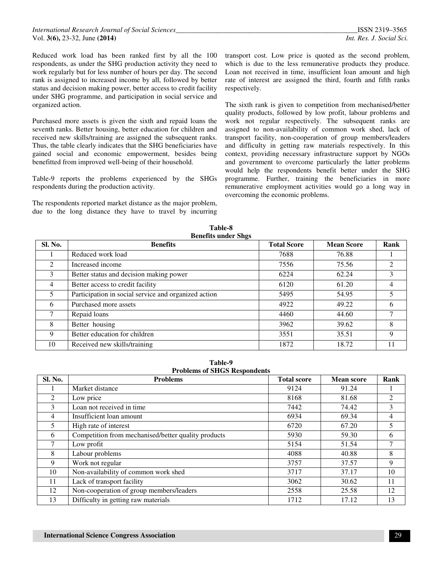Reduced work load has been ranked first by all the 100 respondents, as under the SHG production activity they need to work regularly but for less number of hours per day. The second rank is assigned to increased income by all, followed by better status and decision making power, better access to credit facility under SHG programme, and participation in social service and organized action.

Purchased more assets is given the sixth and repaid loans the seventh ranks. Better housing, better education for children and received new skills/training are assigned the subsequent ranks. Thus, the table clearly indicates that the SHG beneficiaries have gained social and economic empowerment, besides being benefitted from improved well-being of their household.

Table-9 reports the problems experienced by the SHGs respondents during the production activity.

The respondents reported market distance as the major problem, due to the long distance they have to travel by incurring transport cost. Low price is quoted as the second problem, which is due to the less remunerative products they produce. Loan not received in time, insufficient loan amount and high rate of interest are assigned the third, fourth and fifth ranks respectively.

The sixth rank is given to competition from mechanised/better quality products, followed by low profit, labour problems and work not regular respectively. The subsequent ranks are assigned to non-availability of common work shed, lack of transport facility, non-cooperation of group members/leaders and difficulty in getting raw materials respectively. In this context, providing necessary infrastructure support by NGOs and government to overcome particularly the latter problems would help the respondents benefit better under the SHG programme. Further, training the beneficiaries in more remunerative employment activities would go a long way in overcoming the economic problems.

| Sl. No. | <b>Benefits</b>                                      | <b>Total Score</b> | <b>Mean Score</b> | Rank           |
|---------|------------------------------------------------------|--------------------|-------------------|----------------|
|         | Reduced work load                                    | 7688               | 76.88             |                |
| 2       | Increased income                                     | 7556               | 75.56             | 2              |
| 3       | Better status and decision making power              | 6224               | 62.24             | 3              |
| 4       | Better access to credit facility                     | 6120               | 61.20             | $\overline{4}$ |
| 5       | Participation in social service and organized action | 5495               | 54.95             | 5              |
| 6       | Purchased more assets                                | 4922               | 49.22             | 6              |
| 7       | Repaid loans                                         | 4460               | 44.60             | 7              |
| 8       | Better housing                                       | 3962               | 39.62             | 8              |
| 9       | Better education for children                        | 3551               | 35.51             | 9              |
| 10      | Received new skills/training                         | 1872               | 18.72             | 11             |

**Table-8** 

**Table-9 Problems of SHGS Respondents**

| Sl. No. | <b>Problems</b>                                     | <b>Total score</b> | <b>Mean score</b> | Rank |
|---------|-----------------------------------------------------|--------------------|-------------------|------|
|         | Market distance                                     | 9124               | 91.24             |      |
| 2       | Low price                                           | 8168               | 81.68             | 2    |
| 3       | Loan not received in time                           | 7442               | 74.42             | 3    |
| 4       | Insufficient loan amount                            | 6934               | 69.34             | 4    |
| 5       | High rate of interest                               | 6720               | 67.20             | 5    |
| 6       | Competition from mechanised/better quality products | 5930               | 59.30             | 6    |
| 7       | Low profit                                          | 5154               | 51.54             | 7    |
| 8       | Labour problems                                     | 4088               | 40.88             | 8    |
| 9       | Work not regular                                    | 3757               | 37.57             | 9    |
| 10      | Non-availability of common work shed                | 3717               | 37.17             | 10   |
| 11      | Lack of transport facility                          | 3062               | 30.62             | 11   |
| 12      | Non-cooperation of group members/leaders            | 2558               | 25.58             | 12   |
| 13      | Difficulty in getting raw materials                 | 1712               | 17.12             | 13   |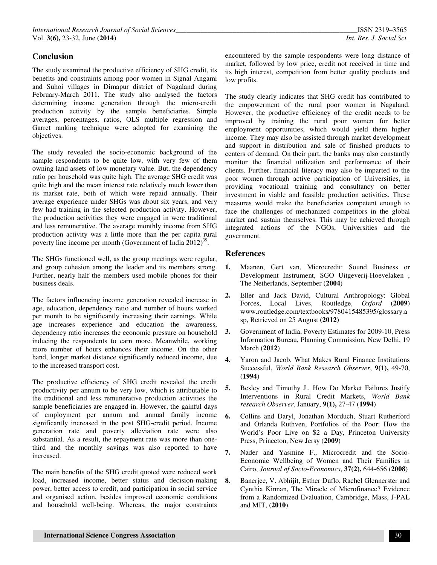## **Conclusion**

The study examined the productive efficiency of SHG credit, its benefits and constraints among poor women in Signal Angami and Suhoi villages in Dimapur district of Nagaland during February-March 2011. The study also analysed the factors determining income generation through the micro-credit production activity by the sample beneficiaries. Simple averages, percentages, ratios, OLS multiple regression and Garret ranking technique were adopted for examining the objectives.

The study revealed the socio-economic background of the sample respondents to be quite low, with very few of them owning land assets of low monetary value. But, the dependency ratio per household was quite high. The average SHG credit was quite high and the mean interest rate relatively much lower than its market rate, both of which were repaid annually. Their average experience under SHGs was about six years, and very few had training in the selected production activity. However, the production activities they were engaged in were traditional and less remunerative. The average monthly income from SHG production activity was a little more than the per capita rural poverty line income per month (Government of India  $2012$ )<sup>39</sup>.

The SHGs functioned well, as the group meetings were regular, and group cohesion among the leader and its members strong. Further, nearly half the members used mobile phones for their business deals.

The factors influencing income generation revealed increase in age, education, dependency ratio and number of hours worked per month to be significantly increasing their earnings. While age increases experience and education the awareness, dependency ratio increases the economic pressure on household inducing the respondents to earn more. Meanwhile, working more number of hours enhances their income. On the other hand, longer market distance significantly reduced income, due to the increased transport cost.

The productive efficiency of SHG credit revealed the credit productivity per annum to be very low, which is attributable to the traditional and less remunerative production activities the sample beneficiaries are engaged in. However, the gainful days of employment per annum and annual family income significantly increased in the post SHG-credit period. Income generation rate and poverty alleviation rate were also substantial. As a result, the repayment rate was more than onethird and the monthly savings was also reported to have increased.

The main benefits of the SHG credit quoted were reduced work load, increased income, better status and decision-making power, better access to credit, and participation in social service and organised action, besides improved economic conditions and household well-being. Whereas, the major constraints

encountered by the sample respondents were long distance of market, followed by low price, credit not received in time and its high interest, competition from better quality products and low profits.

The study clearly indicates that SHG credit has contributed to the empowerment of the rural poor women in Nagaland. However, the productive efficiency of the credit needs to be improved by training the rural poor women for better employment opportunities, which would yield them higher income. They may also be assisted through market development and support in distribution and sale of finished products to centers of demand. On their part, the banks may also constantly monitor the financial utilization and performance of their clients. Further, financial literacy may also be imparted to the poor women through active participation of Universities, in providing vocational training and consultancy on better investment in viable and feasible production activities. These measures would make the beneficiaries competent enough to face the challenges of mechanized competitors in the global market and sustain themselves. This may be achieved through integrated actions of the NGOs, Universities and the government.

## **References**

- **1.** Maanen, Gert van, Microcredit: Sound Business or Development Instrument, SGO Uitgeverij-Hoevelaken , The Netherlands, September (**2004**)
- **2.** Eller and Jack David, Cultural Anthropology: Global Forces, Local Lives, Routledge, *Oxford* (**2009**) www.routledge.com/textbooks/9780415485395/glossary.a sp, Retrieved on 25 August **(2012)**
- **3.** Government of India, Poverty Estimates for 2009-10, Press Information Bureau, Planning Commission, New Delhi, 19 March (**2012**)
- **4.** Yaron and Jacob, What Makes Rural Finance Institutions Successful, *World Bank Research Observer*, **9(1),** 49-70, (**1994**)
- **5.** Besley and Timothy J., How Do Market Failures Justify Interventions in Rural Credit Markets, *World Bank research Observer*, January, **9(1),** 27-47 (**1994**)
- **6.** Collins and Daryl, Jonathan Morduch, Stuart Rutherford and Orlanda Ruthven, Portfolios of the Poor: How the World's Poor Live on \$2 a Day, Princeton University Press, Princeton, New Jersy (**2009**)
- **7.** Nader and Yasmine F., Microcredit and the Socio-Economic Wellbeing of Women and Their Families in Cairo, *Journal of Socio-Economics*, **37(2),** 644-656 (**2008**)
- **8.** Banerjee, V. Abhijit, Esther Duflo, Rachel Glennerster and Cynthia Kinnan, The Miracle of Microfinance? Evidence from a Randomized Evaluation, Cambridge, Mass, J-PAL and MIT, (**2010**)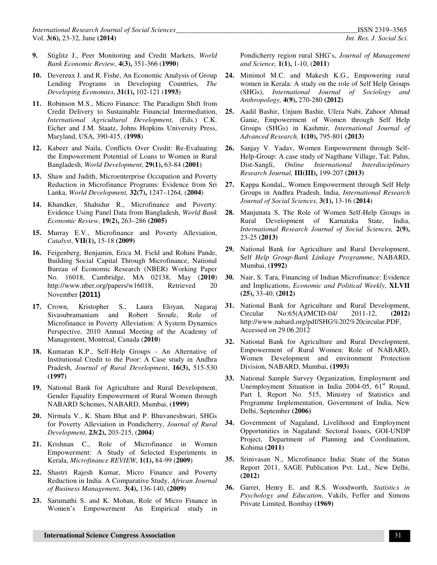- **9.** Stiglitz J., Peer Monitoring and Credit Markets, *World Bank Economic Review*, **4(3),** 351-366 (**1990**)
- **10.** Devereux J. and R. Fishe, An Economic Analysis of Group Lending Programs in Developing Countries, *The Developing Economies*, **31(1),** 102-121 (**1993**)
- **11.** Robinson M.S., Micro Finance: The Paradigm Shift from Credit Delivery to Sustainable Financial Intermediation, *International Agricultural Development*, (Eds.) C.K. Eicher and J.M. Staatz, Johns Hopkins University Press, Maryland, USA, 390-415, (**1998**)
- **12.** Kabeer and Naila, Conflicts Over Credit: Re-Evaluating the Empowerment Potential of Loans to Women in Rural Bangladesh, *World Development*, **29(1),** 63-84 (**2001**)
- **13.** Shaw and Judith, Microenterprise Occupation and Poverty Reduction in Microfinance Programs: Evidence from Sri Lanka, *World Development,* **32(7),** 1247–1264, (**2004**)
- **14.** Khandker, Shahidur R., Microfinance and Poverty: Evidence Using Panel Data from Bangladesh, *World Bank Economic Review*, **19(2),** 263–286 **(2005)**
- **15.** Murray E.V., Microfinance and Poverty Alleviation, *Catalyst*, **VII(1),** 15-18 **(2009)**
- **16.** Feigenberg, Benjamin, Erica M. Field and Rohini Pande, Building Social Capital Through Microfinance, National Bureau of Economic Research (NBER) Working Paper No. 16018, Cambridge, MA 02138, May (**2010**) http://www.nber.org/papers/w16018, Retrieved 20 November (2011)
- **17.** Crown, Kristopher S., Laura Eloyan, Nagaraj Sivasubramaniam and Robert Sroufe, Role of Microfinance in Poverty Alleviation: A System Dynamics Perspective, 2010 Annual Meeting of the Academy of Management, Montreal, Canada (**2010**)
- **18.** Kumaran K.P., Self-Help Groups An Alternative of Institutional Credit to the Poor: A Case study in Andhra Pradesh, *Journal of Rural Development*, **16(3),** 515-530 **(1997)**
- **19.** National Bank for Agriculture and Rural Development, Gender Equality Empowerment of Rural Women through NABARD Schemes, NABARD, Mumbai, **(1999)**
- **20.** Nirmala V., K. Sham Bhat and P. Bhuvaneshwari, SHGs for Poverty Alleviation in Pondicherry, *Journal of Rural Development*, **23(2),** 203-215, (**2004**)
- **21.** Krishnan C., Role of Microfinance in Women Empowerment: A Study of Selected Experiments in Kerala, *Microfinance REVIEW*, **1(1),** 84-99 (**2009**)
- **22.** Shastri Rajesh Kumar, Micro Finance and Poverty Reduction in India: A Comparative Study, *African Journal of Business Management*, **3(4),** 136-140, **(2009)**
- **23.** Sarumathi S. and K. Mohan, Role of Micro Finance in Women's Empowerment An Empirical study in

Pondicherry region rural SHG's, *Journal of Management and Science,* **1(1),** 1-10, (**2011**)

- **24.** Minimol M.C. and Makesh K.G., Empowering rural women in Kerala: A study on the role of Self Help Groups (SHGs), *International Journal of Sociology and Anthropology,* **4(9),** 270-280 **(2012)**
- **25.** Aadil Bashir, Unjum Bashir, Ufera Nabi, Zahoor Ahmad Ganie, Empowerment of Women through Self Help Groups (SHGs) in Kashmir, *International Journal of Advanced Research,* **1(10),** 795-801 **(2013)**
- **26.** Sanjay V. Yadav, Women Empowerment through Self-Help-Group: A case study of Nagthane Village, Tal: Palus, Dist-Sangli, *Online International Interdisciplinary Research Journal,* **III(III),** 199-207 **(2013)**
- **27.** Kappa Kondal,, Women Empowerment through Self Help Groups in Andhra Pradesh, India, *International Research Journal of Social Sciences,* **3(1),** 13-16 (**2014**)
- **28.** Manjunata S, The Role of Women Self-Help Groups in Rural Development of Karnataka State, India, *International Research Journal of Social Sciences,* **2(9),**  23-25 **(2013)**
- **29.** National Bank for Agriculture and Rural Development, Self *Help Group-Bank Linkage Programme*, NABARD, Mumbai, **(1992)**
- **30.** Nair, S. Tara, Financing of Indian Microfinance: Evidence and Implications, *Economic and Political Weekly*, **XLVII (25),** 33-40, **(2012)**
- **31.** National Bank for Agriculture and Rural Development, Circular No:65(A)/MCID-04/ 2011-12, **(2012)** http://www.nabard.org/pdf/SHG%202%20circular.PDF, Accessed on 29.06.2012
- **32.** National Bank for Agriculture and Rural Development, Empowerment of Rural Women: Role of NABARD, Women Development and environment Protection Division, NABARD, Mumbai, **(1993)**
- **33.** National Sample Survey Organization, Employment and Unemployment Situation in India 2004-05,  $61<sup>st</sup>$  Round, Part I, Report No. 515, Ministry of Statistics and Programme Implementation, Government of India, New Delhi, September **(2006)**
- **34.** Government of Nagaland, Livelihood and Employment Opportunities in Nagaland: Sectoral Issues, GOI-UNDP Project, Department of Planning and Coordination, Kohima **(2011)**
- **35.** Srinivasan N., Microfinance India: State of the Status Report 2011, SAGE Publication Pvt. Ltd., New Delhi, **(2012)**
- **36.** Garret, Henry E. and R.S. Woodworth, *Statistics in Psychology and Education*, Vakils, Feffer and Simons Private Limited, Bombay **(1969)**